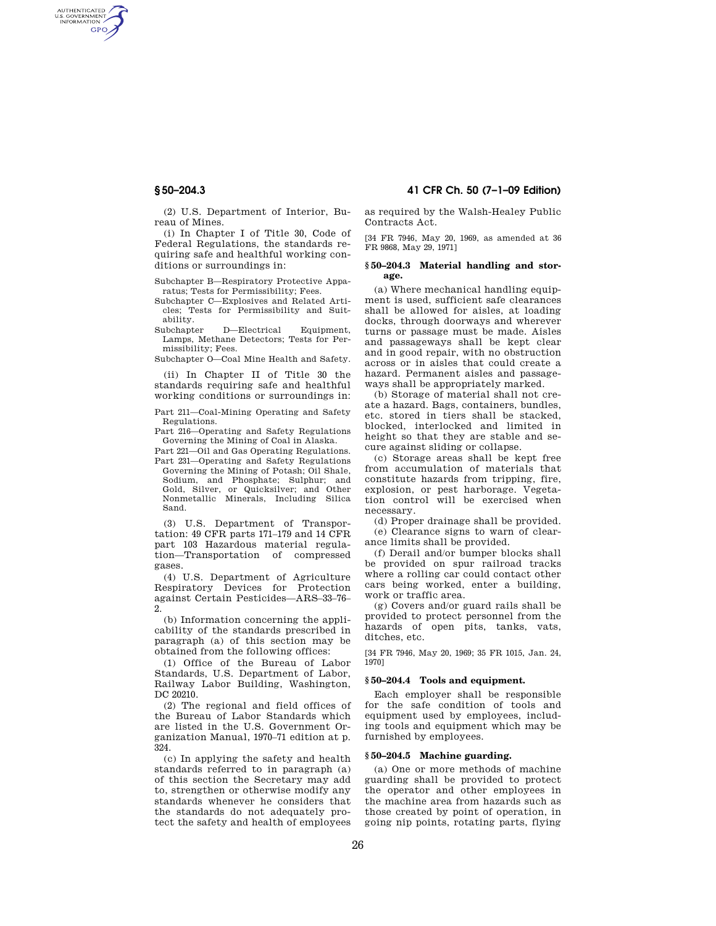AUTHENTICATED<br>U.S. GOVERNMENT<br>INFORMATION **GPO** 

> (2) U.S. Department of Interior, Bureau of Mines.

> (i) In Chapter I of Title 30, Code of Federal Regulations, the standards requiring safe and healthful working conditions or surroundings in:

> Subchapter B—Respiratory Protective Apparatus; Tests for Permissibility; Fees.

> Subchapter C—Explosives and Related Articles; Tests for Permissibility and Suitability.

> Subchapter D—Electrical Equipment, Lamps, Methane Detectors; Tests for Permissibility; Fees.

Subchapter O—Coal Mine Health and Safety.

(ii) In Chapter II of Title 30 the standards requiring safe and healthful working conditions or surroundings in:

Part 211—Coal-Mining Operating and Safety Regulations.

Part 216—Operating and Safety Regulations Governing the Mining of Coal in Alaska.

Part 221—Oil and Gas Operating Regulations. Part 231—Operating and Safety Regulations Governing the Mining of Potash; Oil Shale, Sodium, and Phosphate; Sulphur; and Gold, Silver, or Quicksilver; and Other Nonmetallic Minerals, Including Silica Sand.

(3) U.S. Department of Transportation: 49 CFR parts 171–179 and 14 CFR part 103 Hazardous material regulation—Transportation of compressed gases.

(4) U.S. Department of Agriculture Respiratory Devices for Protection against Certain Pesticides—ARS–33–76–  $2.5$ 

(b) Information concerning the applicability of the standards prescribed in paragraph (a) of this section may be obtained from the following offices:

(1) Office of the Bureau of Labor Standards, U.S. Department of Labor, Railway Labor Building, Washington, DC 20210.

(2) The regional and field offices of the Bureau of Labor Standards which are listed in the U.S. Government Organization Manual, 1970–71 edition at p. 324.

(c) In applying the safety and health standards referred to in paragraph (a) of this section the Secretary may add to, strengthen or otherwise modify any standards whenever he considers that the standards do not adequately protect the safety and health of employees

# **§ 50–204.3 41 CFR Ch. 50 (7–1–09 Edition)**

as required by the Walsh-Healey Public Contracts Act.

[34 FR 7946, May 20, 1969, as amended at 36 FR 9868, May 29, 1971]

## **§ 50–204.3 Material handling and storage.**

(a) Where mechanical handling equipment is used, sufficient safe clearances shall be allowed for aisles, at loading docks, through doorways and wherever turns or passage must be made. Aisles and passageways shall be kept clear and in good repair, with no obstruction across or in aisles that could create a hazard. Permanent aisles and passageways shall be appropriately marked.

(b) Storage of material shall not create a hazard. Bags, containers, bundles, etc. stored in tiers shall be stacked, blocked, interlocked and limited in height so that they are stable and secure against sliding or collapse.

(c) Storage areas shall be kept free from accumulation of materials that constitute hazards from tripping, fire, explosion, or pest harborage. Vegetation control will be exercised when necessary.

(d) Proper drainage shall be provided. (e) Clearance signs to warn of clearance limits shall be provided.

(f) Derail and/or bumper blocks shall be provided on spur railroad tracks where a rolling car could contact other cars being worked, enter a building, work or traffic area.

(g) Covers and/or guard rails shall be provided to protect personnel from the hazards of open pits, tanks, vats, ditches, etc.

[34 FR 7946, May 20, 1969; 35 FR 1015, Jan. 24, 1970]

### **§ 50–204.4 Tools and equipment.**

Each employer shall be responsible for the safe condition of tools and equipment used by employees, including tools and equipment which may be furnished by employees.

#### **§ 50–204.5 Machine guarding.**

(a) One or more methods of machine guarding shall be provided to protect the operator and other employees in the machine area from hazards such as those created by point of operation, in going nip points, rotating parts, flying